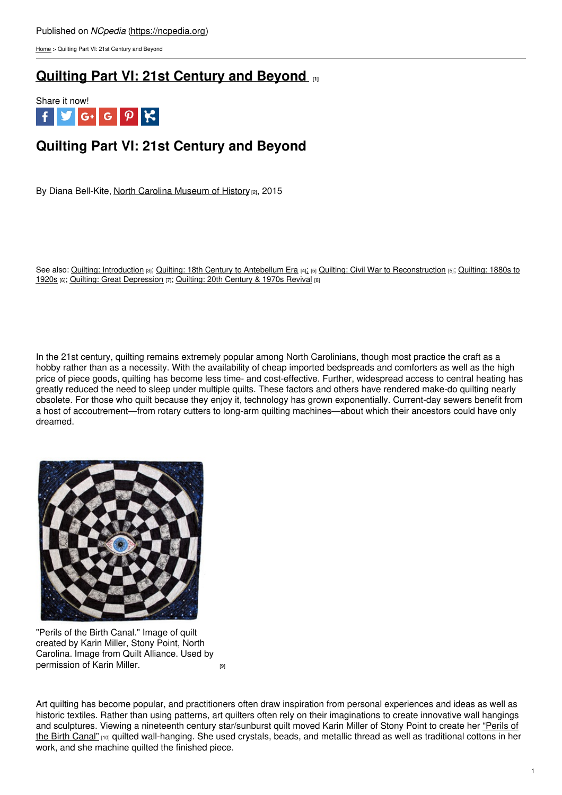[Home](https://ncpedia.org/) > Quilting Part VI: 21st Century and Beyond

## **Quilting Part VI: 21st [Century](https://ncpedia.org/quilting-part-vi-21st-century-and) and Beyond [1]**



# **Quilting Part VI: 21st Century and Beyond**

By Diana Bell-Kite, North Carolina [Museum](https://www.ncmuseumofhistory.org/) of History [2], 2015

See also: Quilting: [Introduction](https://ncpedia.org/quilting-north-carolina-introduction) [3]; Quilting: 18th Century to [Antebellum](https://ncpedia.org/quilting-part-i-18th-century) Era [4][;](https://ncpedia.org/quilting-part-ii-civil-war-postwar) [5] Quilting: Civil War to [Reconstruction](https://ncpedia.org/quilting-part-iii-1880s-1920s) [5]; Quilting: 1880s to 1920s [6]; Quilting: Great [Depression](https://ncpedia.org/quilting-part-iv-great-depression) [7]; [Quilting:](https://ncpedia.org/quilting-part-v-20th-century-and) 20th Century & 1970s Revival [8]

In the 21st century, quilting remains extremely popular among North Carolinians, though most practice the craft as a hobby rather than as a necessity. With the availability of cheap imported bedspreads and comforters as well as the high price of piece goods, quilting has become less time- and cost-effective. Further, widespread access to central heating has greatly reduced the need to sleep under multiple quilts. These factors and others have rendered make-do quilting nearly obsolete. For those who quilt because they enjoy it, technology has grown exponentially. Current-day sewers benefit from a host of accoutrement—from rotary cutters to long-arm quilting machines—about which their ancestors could have only dreamed.



"Perils of the Birth Canal." Image of quilt created by Karin Miller, Stony Point, North Carolina. Image from Quilt Alliance. Used by [permission](http://www.quiltindex.org/fulldisplay.php?kid=1-6-2EC) of Karin Miller.



Art quilting has become popular, and practitioners often draw inspiration from personal experiences and ideas as well as historic textiles. Rather than using patterns, art quilters often rely on their imaginations to create innovative wall hangings and sculptures. Viewing a nineteenth century [star/sunburst](http://www.allianceforamericanquilts.org/projects/galleries/Inspired By/1-6-2EC/Perils of the Birth Canal) quilt moved Karin Miller of Stony Point to create her "Perils of the Birth Canal" [10] quilted wall-hanging. She used crystals, beads, and metallic thread as well as traditional cottons in her work, and she machine quilted the finished piece.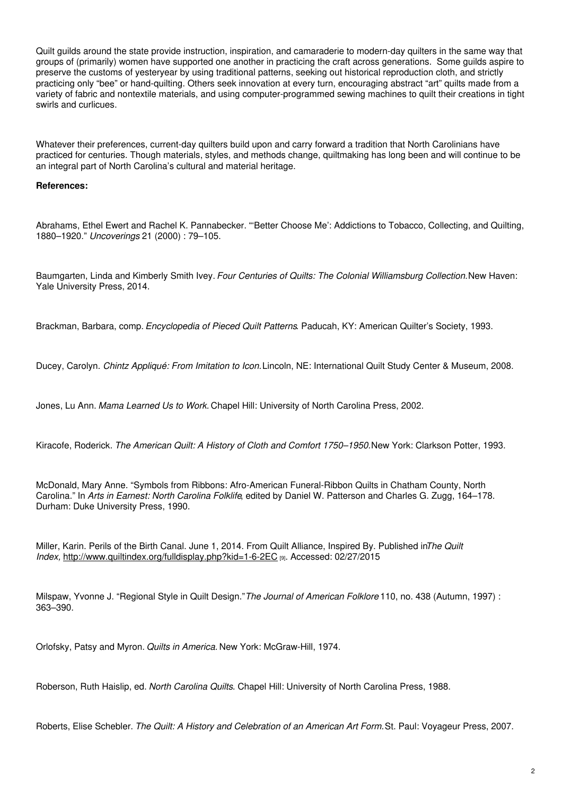Quilt guilds around the state provide instruction, inspiration, and camaraderie to modern-day quilters in the same way that groups of (primarily) women have supported one another in practicing the craft across generations. Some guilds aspire to preserve the customs of yesteryear by using traditional patterns, seeking out historical reproduction cloth, and strictly practicing only "bee" or hand-quilting. Others seek innovation at every turn, encouraging abstract "art" quilts made from a variety of fabric and nontextile materials, and using computer-programmed sewing machines to quilt their creations in tight swirls and curlicues.

Whatever their preferences, current-day quilters build upon and carry forward a tradition that North Carolinians have practiced for centuries. Though materials, styles, and methods change, quiltmaking has long been and will continue to be an integral part of North Carolina's cultural and material heritage.

### **References:**

Abrahams, Ethel Ewert and Rachel K. Pannabecker. "'Better Choose Me': Addictions to Tobacco, Collecting, and Quilting, 1880–1920." *Uncoverings* 21 (2000) : 79–105.

Baumgarten, Linda and Kimberly Smith Ivey. *Four Centuries of Quilts: The Colonial Williamsburg Collection.*New Haven: Yale University Press, 2014.

Brackman, Barbara, comp. *Encyclopedia of Pieced Quilt Patterns*. Paducah, KY: American Quilter's Society, 1993.

Ducey, Carolyn. *Chintz Appliqué: From Imitation to Icon.*Lincoln, NE: International Quilt Study Center & Museum, 2008.

Jones, Lu Ann. *Mama Learned Us to Work.* Chapel Hill: University of North Carolina Press, 2002.

Kiracofe, Roderick. *The American Quilt: A History of Cloth and Comfort 1750–1950.*New York: Clarkson Potter, 1993.

McDonald, Mary Anne. "Symbols from Ribbons: Afro-American Funeral-Ribbon Quilts in Chatham County, North Carolina." In *Arts in Earnest: North Carolina Folklife*, edited by Daniel W. Patterson and Charles G. Zugg, 164–178. Durham: Duke University Press, 1990.

Miller, Karin. Perils of the Birth Canal. June 1, 2014. From Quilt Alliance, Inspired By. Published in*The Quilt Index,* <http://www.quiltindex.org/fulldisplay.php?kid=1-6-2EC> [9]. Accessed: 02/27/2015

Milspaw, Yvonne J. "Regional Style in Quilt Design."*The Journal of American Folklore* 110, no. 438 (Autumn, 1997) : 363–390.

Orlofsky, Patsy and Myron. *Quilts in America.* New York: McGraw-Hill, 1974.

Roberson, Ruth Haislip, ed. *North Carolina Quilts*. Chapel Hill: University of North Carolina Press, 1988.

Roberts, Elise Schebler. *The Quilt: A History and Celebration of an American Art Form.*St. Paul: Voyageur Press, 2007.